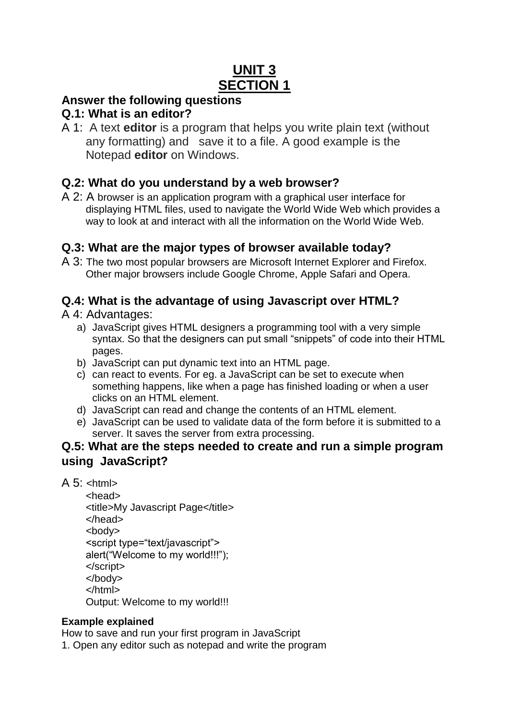# **UNIT 3 SECTION 1**

# **Answer the following questions**

### **Q.1: What is an editor?**

A 1: A text **editor** is a program that helps you write plain text (without any formatting) and save it to a file. A good example is the Notepad **editor** on Windows.

# **Q.2: What do you understand by a web browser?**

A 2: A browser is an application program with a graphical user interface for displaying HTML files, used to navigate the World Wide Web which provides a way to look at and interact with all the information on the World Wide Web.

# **Q.3: What are the major types of browser available today?**

A 3: The two most popular browsers are Microsoft Internet Explorer and Firefox. Other major browsers include Google Chrome, Apple Safari and Opera.

# **Q.4: What is the advantage of using Javascript over HTML?**

A 4: Advantages:

- a) JavaScript gives HTML designers a programming tool with a very simple syntax. So that the designers can put small "snippets" of code into their HTML pages.
- b) JavaScript can put dynamic text into an HTML page.
- c) can react to events. For eg. a JavaScript can be set to execute when something happens, like when a page has finished loading or when a user clicks on an HTML element.
- d) JavaScript can read and change the contents of an HTML element.
- e) JavaScript can be used to validate data of the form before it is submitted to a server. It saves the server from extra processing.

# **Q.5: What are the steps needed to create and run a simple program using JavaScript?**

 $A$  5:  $\lt$ html $>$ 

```
<head>
<title>My Javascript Page</title>
</head>
<br/>hody>
<script type="text/javascript">
alert("Welcome to my world!!!");
</script>
</body>
</html>
Output: Welcome to my world!!!
```
#### **Example explained**

How to save and run your first program in JavaScript

1. Open any editor such as notepad and write the program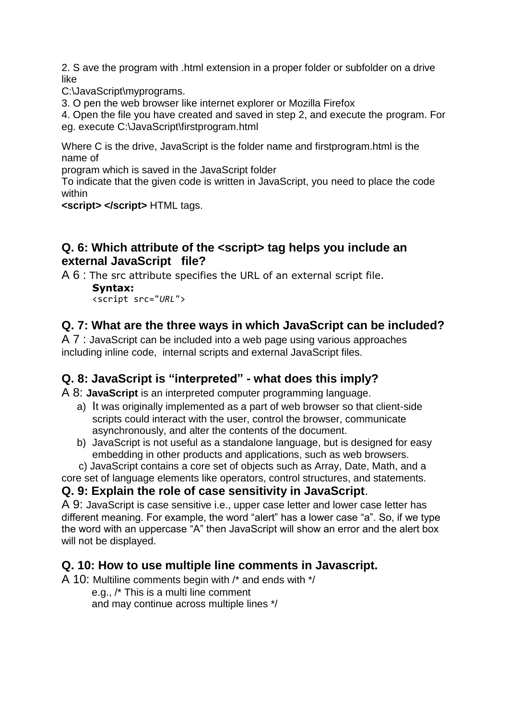2. S ave the program with .html extension in a proper folder or subfolder on a drive like

C:\JavaScript\myprograms.

3. O pen the web browser like internet explorer or Mozilla Firefox

4. Open the file you have created and saved in step 2, and execute the program. For eg. execute C:\JavaScript\firstprogram.html

Where C is the drive, JavaScript is the folder name and firstprogram.html is the name of

program which is saved in the JavaScript folder

To indicate that the given code is written in JavaScript, you need to place the code within

**<script> </script>** HTML tags.

# **Q. 6: Which attribute of the <script> tag helps you include an external JavaScript file?**

A 6 : The src attribute specifies the URL of an external script file.

### **Syntax:**

<script src="*URL*">

# **Q. 7: What are the three ways in which JavaScript can be included?**

A 7 : JavaScript can be included into a web page using various approaches including inline code, internal scripts and external JavaScript files.

# **Q. 8: JavaScript is "interpreted" - what does this imply?**

A 8: **JavaScript** is an interpreted computer programming language.

- a) It was originally implemented as a part of web browser so that client-side scripts could interact with the user, control the browser, communicate asynchronously, and alter the contents of the document.
- b) JavaScript is not useful as a standalone language, but is designed for easy embedding in other products and applications, such as web browsers.

 c) JavaScript contains a core set of objects such as Array, Date, Math, and a core set of language elements like operators, control structures, and statements.

# **Q. 9: Explain the role of case sensitivity in JavaScript**.

A 9: JavaScript is case sensitive i.e., upper case letter and lower case letter has different meaning. For example, the word "alert" has a lower case "a". So, if we type the word with an uppercase "A" then JavaScript will show an error and the alert box will not be displayed.

# **Q. 10: How to use multiple line comments in Javascript.**

A 10: Multiline comments begin with /\* and ends with \*/

e.g., /\* This is a multi line comment

and may continue across multiple lines \*/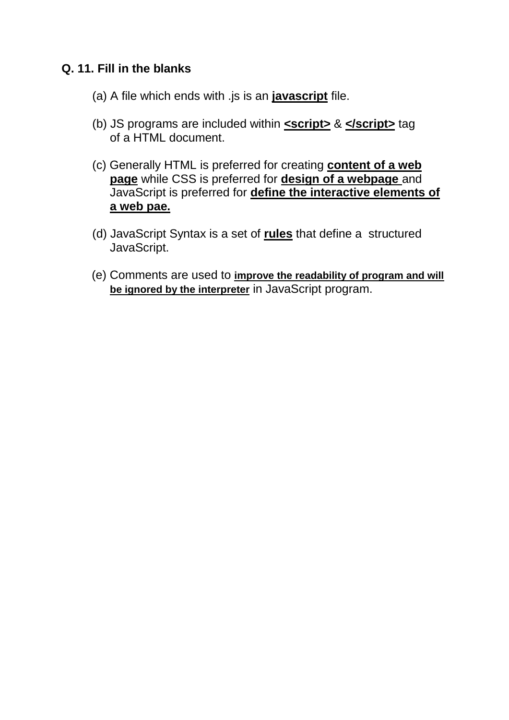# **Q. 11. Fill in the blanks**

- (a) A file which ends with .js is an **javascript** file.
- (b) JS programs are included within **<script>** & **</script>** tag of a HTML document.
- (c) Generally HTML is preferred for creating **content of a web page** while CSS is preferred for **design of a webpage** and JavaScript is preferred for **define the interactive elements of a web pae.**
- (d) JavaScript Syntax is a set of **rules** that define a structured JavaScript.
- (e) Comments are used to **improve the readability of program and will be ignored by the interpreter** in JavaScript program.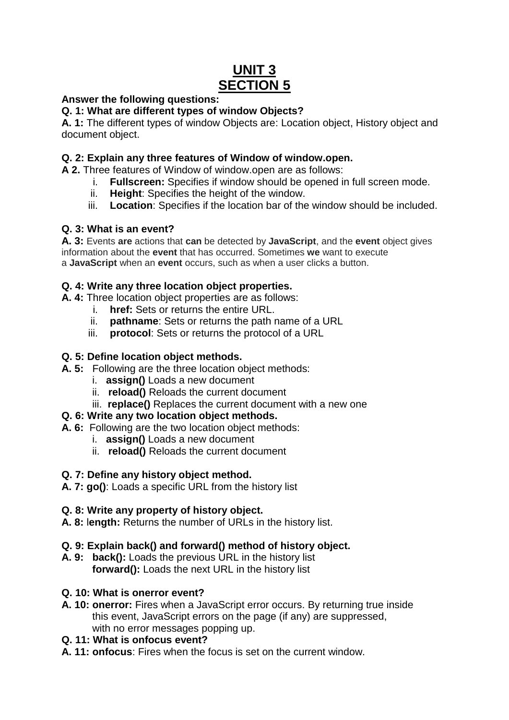# **UNIT 3 SECTION 5**

#### **Answer the following questions:**

#### **Q. 1: What are different types of window Objects?**

**A. 1:** The different types of window Objects are: Location object, History object and document object.

#### **Q. 2: Explain any three features of Window of window.open.**

**A 2.** Three features of Window of window.open are as follows:

- i. **Fullscreen:** Specifies if window should be opened in full screen mode.
- ii. **Height**: Specifies the height of the window.
- iii. **Location**: Specifies if the location bar of the window should be included.

#### **Q. 3: What is an event?**

**A. 3:** Events **are** actions that **can** be detected by **JavaScript**, and the **event** object gives information about the **event** that has occurred. Sometimes **we** want to execute a **JavaScript** when an **event** occurs, such as when a user clicks a button.

#### **Q. 4: Write any three location object properties.**

- **A. 4:** Three location object properties are as follows:
	- i. **href:** Sets or returns the entire URL.
	- ii. **pathname**: Sets or returns the path name of a URL
	- iii. **protocol**: Sets or returns the protocol of a URL

#### **Q. 5: Define location object methods.**

- **A. 5:** Following are the three location object methods:
	- i. **assign()** Loads a new document
	- ii. **reload()** Reloads the current document
	- iii. **replace()** Replaces the current document with a new one

#### **Q. 6: Write any two location object methods.**

- **A. 6:** Following are the two location object methods:
	- i. **assign()** Loads a new document
	- ii. **reload()** Reloads the current document

#### **Q. 7: Define any history object method.**

**A. 7: go()**: Loads a specific URL from the history list

#### **Q. 8: Write any property of history object.**

**A. 8:** l**ength:** Returns the number of URLs in the history list.

#### **Q. 9: Explain back() and forward() method of history object.**

**A. 9: back():** Loads the previous URL in the history list **forward():** Loads the next URL in the history list

#### **Q. 10: What is onerror event?**

**A. 10: onerror:** Fires when a JavaScript error occurs. By returning true inside this event, JavaScript errors on the page (if any) are suppressed, with no error messages popping up.

#### **Q. 11: What is onfocus event?**

**A. 11: onfocus**: Fires when the focus is set on the current window.